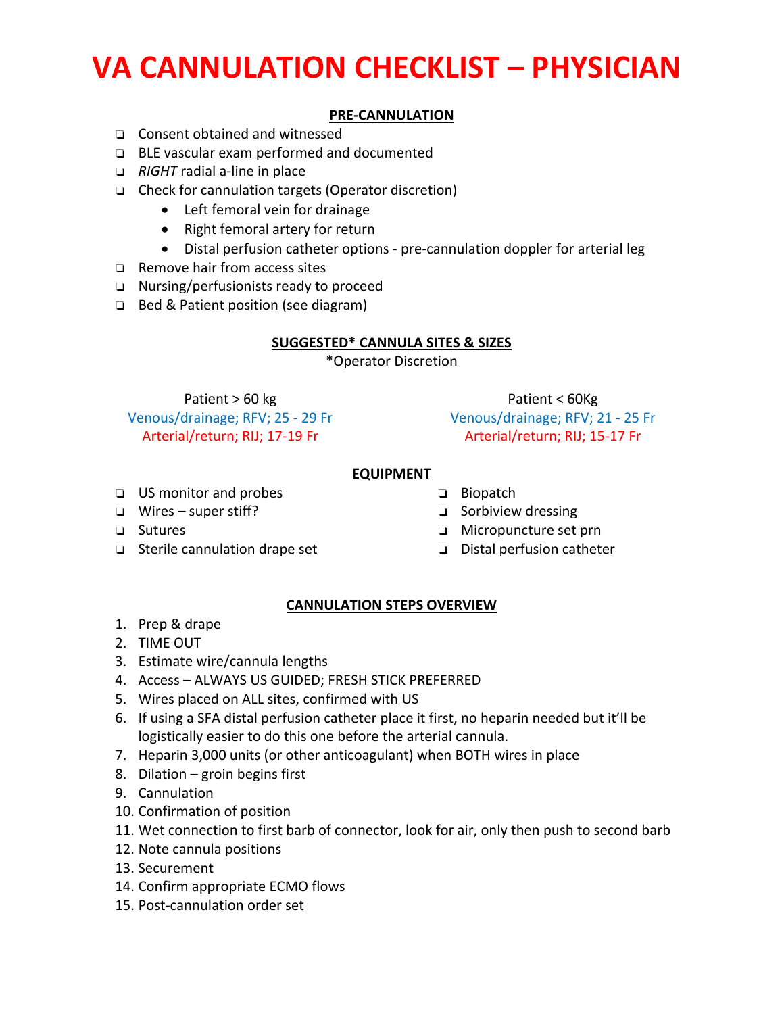# **VA CANNULATION CHECKLIST – PHYSICIAN**

### **PRE‐CANNULATION**

- ❏ Consent obtained and witnessed
- ❏ BLE vascular exam performed and documented
- ❏ *RIGHT* radial a‐line in place
- ❏ Check for cannulation targets (Operator discretion)
	- Left femoral vein for drainage
	- Right femoral artery for return
	- Distal perfusion catheter options pre-cannulation doppler for arterial leg
- ❏ Remove hair from access sites
- ❏ Nursing/perfusionists ready to proceed
- ❏ Bed & Patient position (see diagram)

### **SUGGESTED\* CANNULA SITES & SIZES**

\*Operator Discretion

Patient > 60 kg Venous/drainage; RFV; 25 ‐ 29 Fr Arterial/return; RIJ; 17‐19 Fr

Patient < 60Kg Venous/drainage; RFV; 21 ‐ 25 Fr Arterial/return; RIJ; 15‐17 Fr

#### **EQUIPMENT**

- ❏ US monitor and probes
- ❏ Wires super stiff?
	-
- ❏ Sutures
- ❏ Sterile cannulation drape set
- ❏ Biopatch
- ❏ Sorbiview dressing
- ❏ Micropuncture set prn
- ❏ Distal perfusion catheter

### **CANNULATION STEPS OVERVIEW**

- 1. Prep & drape
- 2. TIME OUT
- 3. Estimate wire/cannula lengths
- 4. Access ALWAYS US GUIDED; FRESH STICK PREFERRED
- 5. Wires placed on ALL sites, confirmed with US
- 6. If using a SFA distal perfusion catheter place it first, no heparin needed but it'll be logistically easier to do this one before the arterial cannula.
- 7. Heparin 3,000 units (or other anticoagulant) when BOTH wires in place
- 8. Dilation groin begins first
- 9. Cannulation
- 10. Confirmation of position
- 11. Wet connection to first barb of connector, look for air, only then push to second barb
- 12. Note cannula positions
- 13. Securement
- 14. Confirm appropriate ECMO flows
- 15. Post‐cannulation order set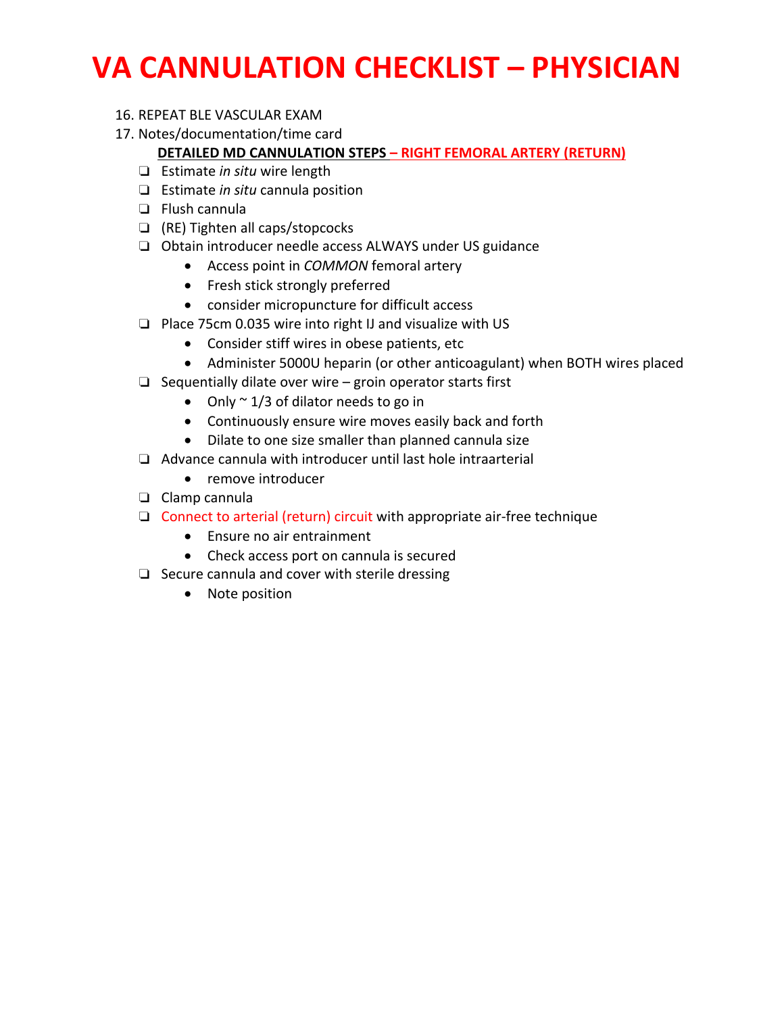# **VA CANNULATION CHECKLIST – PHYSICIAN**

- 16. REPEAT BLE VASCULAR EXAM
- 17. Notes/documentation/time card

## **DETAILED MD CANNULATION STEPS – RIGHT FEMORAL ARTERY (RETURN)**

- ❏ Estimate *in situ* wire length
- ❏ Estimate *in situ* cannula position
- ❏ Flush cannula
- ❏ (RE) Tighten all caps/stopcocks
- ❏ Obtain introducer needle access ALWAYS under US guidance
	- Access point in *COMMON* femoral artery
	- Fresh stick strongly preferred
	- consider micropuncture for difficult access
- ❏ Place 75cm 0.035 wire into right IJ and visualize with US
	- Consider stiff wires in obese patients, etc
	- Administer 5000U heparin (or other anticoagulant) when BOTH wires placed
- ❏ Sequentially dilate over wire groin operator starts first
	- Only  $\sim$  1/3 of dilator needs to go in
	- Continuously ensure wire moves easily back and forth
	- Dilate to one size smaller than planned cannula size
- ❏ Advance cannula with introducer until last hole intraarterial
	- remove introducer
- ❏ Clamp cannula
- ❏ Connect to arterial (return) circuit with appropriate air‐free technique
	- Ensure no air entrainment
	- Check access port on cannula is secured
- ❏ Secure cannula and cover with sterile dressing
	- Note position